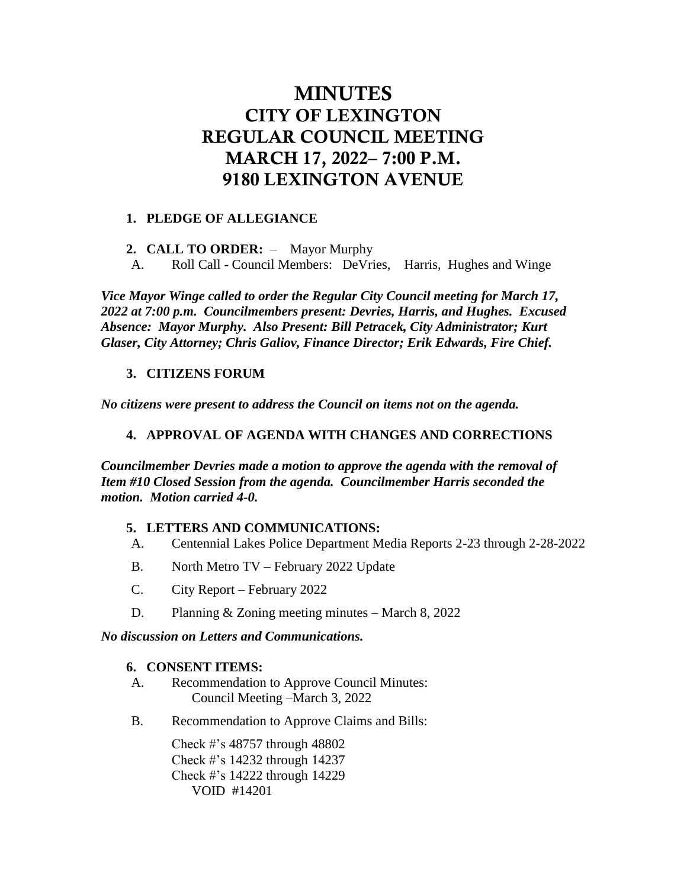# MINUTES CITY OF LEXINGTON REGULAR COUNCIL MEETING MARCH 17, 2022– 7:00 P.M. 9180 LEXINGTON AVENUE

## **1. PLEDGE OF ALLEGIANCE**

- **2. CALL TO ORDER:**  Mayor Murphy
- A. Roll Call Council Members: DeVries, Harris, Hughes and Winge

*Vice Mayor Winge called to order the Regular City Council meeting for March 17, 2022 at 7:00 p.m. Councilmembers present: Devries, Harris, and Hughes. Excused Absence: Mayor Murphy. Also Present: Bill Petracek, City Administrator; Kurt Glaser, City Attorney; Chris Galiov, Finance Director; Erik Edwards, Fire Chief.*

# **3. CITIZENS FORUM**

*No citizens were present to address the Council on items not on the agenda.* 

# **4. APPROVAL OF AGENDA WITH CHANGES AND CORRECTIONS**

*Councilmember Devries made a motion to approve the agenda with the removal of Item #10 Closed Session from the agenda. Councilmember Harris seconded the motion. Motion carried 4-0.* 

# **5. LETTERS AND COMMUNICATIONS:**

- A. Centennial Lakes Police Department Media Reports 2-23 through 2-28-2022
- B. North Metro TV February 2022 Update
- C. City Report February 2022
- D. Planning & Zoning meeting minutes March 8, 2022

#### *No discussion on Letters and Communications.*

#### **6. CONSENT ITEMS:**

- A. Recommendation to Approve Council Minutes: Council Meeting –March 3, 2022
- B. Recommendation to Approve Claims and Bills:

Check #'s 48757 through 48802 Check #'s 14232 through 14237 Check #'s 14222 through 14229 VOID #14201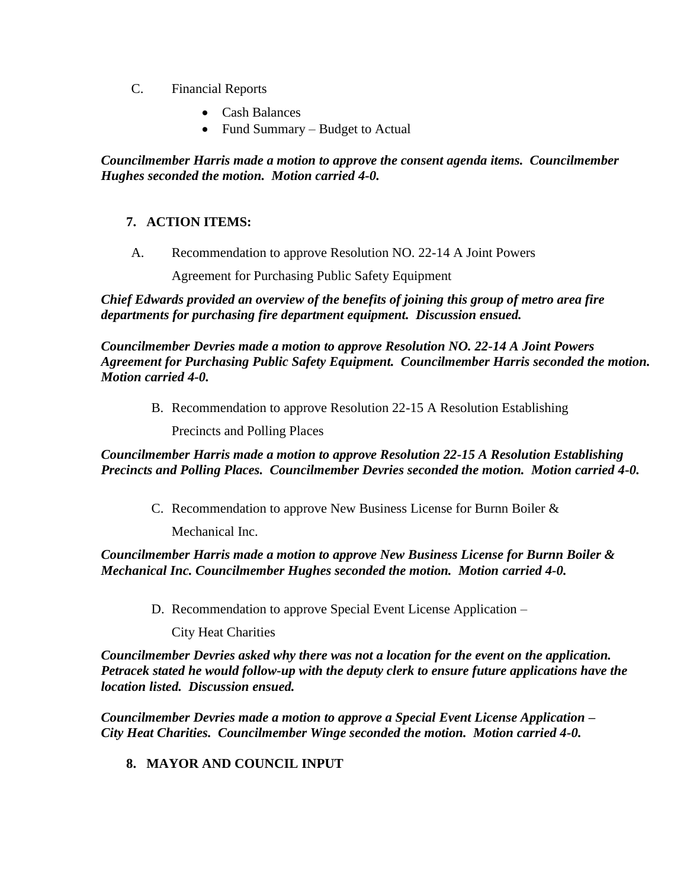- C. Financial Reports
	- Cash Balances
	- Fund Summary Budget to Actual

*Councilmember Harris made a motion to approve the consent agenda items. Councilmember Hughes seconded the motion. Motion carried 4-0.*

# **7. ACTION ITEMS:**

A. Recommendation to approve Resolution NO. 22-14 A Joint Powers

Agreement for Purchasing Public Safety Equipment

*Chief Edwards provided an overview of the benefits of joining this group of metro area fire departments for purchasing fire department equipment. Discussion ensued.* 

*Councilmember Devries made a motion to approve Resolution NO. 22-14 A Joint Powers Agreement for Purchasing Public Safety Equipment. Councilmember Harris seconded the motion. Motion carried 4-0.* 

B. Recommendation to approve Resolution 22-15 A Resolution Establishing

Precincts and Polling Places

*Councilmember Harris made a motion to approve Resolution 22-15 A Resolution Establishing Precincts and Polling Places. Councilmember Devries seconded the motion. Motion carried 4-0.* 

C. Recommendation to approve New Business License for Burnn Boiler &

Mechanical Inc.

*Councilmember Harris made a motion to approve New Business License for Burnn Boiler & Mechanical Inc. Councilmember Hughes seconded the motion. Motion carried 4-0.*

D. Recommendation to approve Special Event License Application –

City Heat Charities

*Councilmember Devries asked why there was not a location for the event on the application. Petracek stated he would follow-up with the deputy clerk to ensure future applications have the location listed. Discussion ensued.* 

*Councilmember Devries made a motion to approve a Special Event License Application – City Heat Charities. Councilmember Winge seconded the motion. Motion carried 4-0.* 

**8. MAYOR AND COUNCIL INPUT**